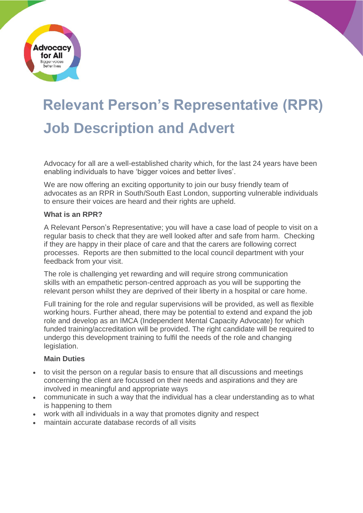

# **Relevant Person's Representative (RPR) Job Description and Advert**

Advocacy for all are a well-established charity which, for the last 24 years have been enabling individuals to have 'bigger voices and better lives'.

We are now offering an exciting opportunity to join our busy friendly team of advocates as an RPR in South/South East London, supporting vulnerable individuals to ensure their voices are heard and their rights are upheld.

#### **What is an RPR?**

A Relevant Person's Representative; you will have a case load of people to visit on a regular basis to check that they are well looked after and safe from harm. Checking if they are happy in their place of care and that the carers are following correct processes. Reports are then submitted to the local council department with your feedback from your visit.

The role is challenging yet rewarding and will require strong communication skills with an empathetic person-centred approach as you will be supporting the relevant person whilst they are deprived of their liberty in a hospital or care home.

Full training for the role and regular supervisions will be provided, as well as flexible working hours. Further ahead, there may be potential to extend and expand the job role and develop as an IMCA (Independent Mental Capacity Advocate) for which funded training/accreditation will be provided. The right candidate will be required to undergo this development training to fulfil the needs of the role and changing legislation.

### **Main Duties**

- to visit the person on a regular basis to ensure that all discussions and meetings concerning the client are focussed on their needs and aspirations and they are involved in meaningful and appropriate ways
- communicate in such a way that the individual has a clear understanding as to what is happening to them
- work with all individuals in a way that promotes dignity and respect
- maintain accurate database records of all visits